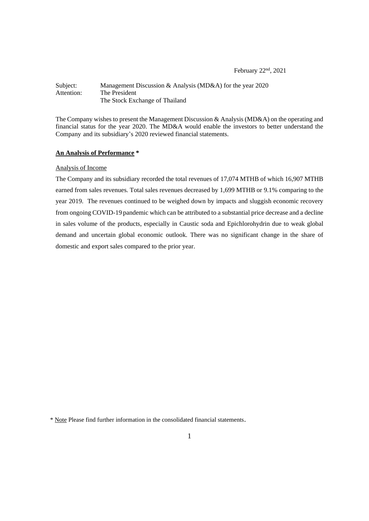February 22nd, 2021

### Subject: Management Discussion & Analysis (MD&A) for the year 2020<br>Attention: The President The President The Stock Exchange of Thailand

The Company wishes to present the Management Discussion & Analysis (MD&A) on the operating and financial status for the year 2020. The MD&A would enable the investors to better understand the Company and its subsidiary's 2020 reviewed financial statements.

# **An Analysis of Performance \***

### Analysis of Income

The Company and its subsidiary recorded the total revenues of 17,074 MTHB of which 16,907 MTHB earned from sales revenues. Total sales revenues decreased by 1,699 MTHB or 9.1% comparing to the year 2019. The revenues continued to be weighed down by impacts and sluggish economic recovery from ongoing COVID-19 pandemic which can be attributed to a substantial price decrease and a decline in sales volume of the products, especially in Caustic soda and Epichlorohydrin due to weak global demand and uncertain global economic outlook. There was no significant change in the share of domestic and export sales compared to the prior year.

<sup>\*</sup> Note Please find further information in the consolidated financial statements.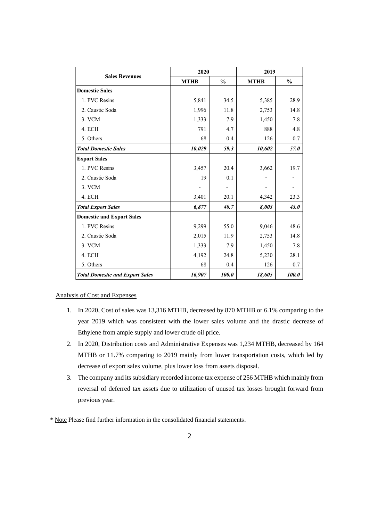|                                        | 2020        |               | 2019        |               |
|----------------------------------------|-------------|---------------|-------------|---------------|
| <b>Sales Revenues</b>                  | <b>MTHB</b> | $\frac{0}{0}$ | <b>MTHB</b> | $\frac{0}{0}$ |
| <b>Domestic Sales</b>                  |             |               |             |               |
| 1. PVC Resins                          | 5,841       | 34.5          | 5,385       | 28.9          |
| 2. Caustic Soda                        | 1,996       | 11.8          | 2,753       | 14.8          |
| 3. VCM                                 | 1,333       | 7.9           | 1,450       | 7.8           |
| 4. ECH                                 | 791         | 4.7           | 888         | 4.8           |
| 5. Others                              | 68          | 0.4           | 126         | 0.7           |
| <b>Total Domestic Sales</b>            | 10,029      | 59.3          | 10,602      | 57.0          |
| <b>Export Sales</b>                    |             |               |             |               |
| 1. PVC Resins                          | 3,457       | 20.4          | 3,662       | 19.7          |
| 2. Caustic Soda                        | 19          | 0.1           |             |               |
| 3. VCM                                 |             |               |             |               |
| 4. ECH                                 | 3,401       | 20.1          | 4,342       | 23.3          |
| <b>Total Export Sales</b>              | 6,877       | 40.7          | 8,003       | 43.0          |
| <b>Domestic and Export Sales</b>       |             |               |             |               |
| 1. PVC Resins                          | 9,299       | 55.0          | 9,046       | 48.6          |
| 2. Caustic Soda                        | 2,015       | 11.9          | 2,753       | 14.8          |
| 3. VCM                                 | 1,333       | 7.9           | 1,450       | 7.8           |
| 4. ECH                                 | 4,192       | 24.8          | 5,230       | 28.1          |
| 5. Others                              | 68          | 0.4           | 126         | 0.7           |
| <b>Total Domestic and Export Sales</b> | 16,907      | 100.0         | 18,605      | 100.0         |

# Analysis of Cost and Expenses

- 1. In 2020, Cost of sales was 13,316 MTHB, decreased by 870 MTHB or 6.1% comparing to the year 2019 which was consistent with the lower sales volume and the drastic decrease of Ethylene from ample supply and lower crude oil price.
- 2. In 2020, Distribution costs and Administrative Expenses was 1,234 MTHB, decreased by 164 MTHB or 11.7% comparing to 2019 mainly from lower transportation costs, which led by decrease of export sales volume, plus lower loss from assets disposal.
- 3. The company and its subsidiary recorded income tax expense of 256 MTHB which mainly from reversal of deferred tax assets due to utilization of unused tax losses brought forward from previous year.
- \* Note Please find further information in the consolidated financial statements.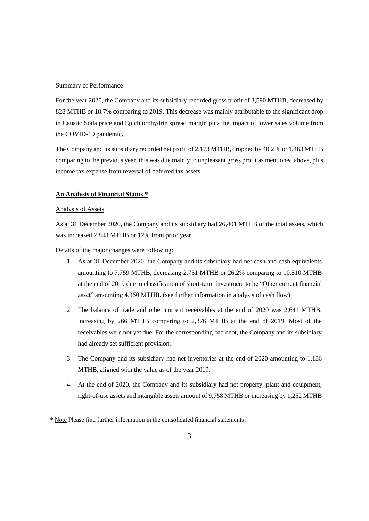### Summary of Performance

For the year 2020, the Company and its subsidiary recorded gross profit of 3,590 MTHB, decreased by 828 MTHB or 18.7% comparing to 2019. This decrease was mainly attributable to the significant drop in Caustic Soda price and Epichlorohydrin spread margin plus the impact of lower sales volume from the COVID-19 pandemic.

The Company and its subsidiary recorded net profit of 2,173 MTHB, dropped by 40.2 % or 1,463 MTHB comparing to the previous year, this was due mainly to unpleasant gross profit as mentioned above, plus income tax expense from reversal of deferred tax assets.

### **An Analysis of Financial Status \***

#### Analysis of Assets

As at 31 December 2020, the Company and its subsidiary had 26,401 MTHB of the total assets, which was increased 2,843 MTHB or 12% from prior year.

Details of the major changes were following:

- 1. As at 31 December 2020, the Company and its subsidiary had net cash and cash equivalents amounting to 7,759 MTHB, decreasing 2,751 MTHB or 26.2% comparing to 10,510 MTHB at the end of 2019 due to classification of short-term investment to be "Other current financial asset" amounting 4,350 MTHB. (see further information in analysis of cash flow)
- 2. The balance of trade and other current receivables at the end of 2020 was 2,641 MTHB, increasing by 266 MTHB comparing to 2,376 MTHB at the end of 2019. Most of the receivables were not yet due. For the corresponding bad debt, the Company and its subsidiary had already set sufficient provision.
- 3. The Company and its subsidiary had net inventories at the end of 2020 amounting to 1,136 MTHB, aligned with the value as of the year 2019.
- 4. At the end of 2020, the Company and its subsidiary had net property, plant and equipment, right-of-use assets and intangible assets amount of 9,758 MTHB or increasing by 1,252 MTHB

\* Note Please find further information in the consolidated financial statements.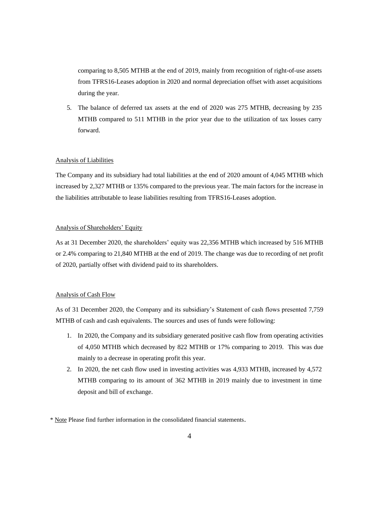comparing to 8,505 MTHB at the end of 2019, mainly from recognition of right-of-use assets from TFRS16-Leases adoption in 2020 and normal depreciation offset with asset acquisitions during the year.

5. The balance of deferred tax assets at the end of 2020 was 275 MTHB, decreasing by 235 MTHB compared to 511 MTHB in the prior year due to the utilization of tax losses carry forward.

### Analysis of Liabilities

The Company and its subsidiary had total liabilities at the end of 2020 amount of 4,045 MTHB which increased by 2,327 MTHB or 135% compared to the previous year. The main factors for the increase in the liabilities attributable to lease liabilities resulting from TFRS16-Leases adoption.

### Analysis of Shareholders' Equity

As at 31 December 2020, the shareholders' equity was 22,356 MTHB which increased by 516 MTHB or 2.4% comparing to 21,840 MTHB at the end of 2019. The change was due to recording of net profit of 2020, partially offset with dividend paid to its shareholders.

## Analysis of Cash Flow

As of 31 December 2020, the Company and its subsidiary's Statement of cash flows presented 7,759 MTHB of cash and cash equivalents. The sources and uses of funds were following:

- 1. In 2020, the Company and its subsidiary generated positive cash flow from operating activities of 4,050 MTHB which decreased by 822 MTHB or 17% comparing to 2019. This was due mainly to a decrease in operating profit this year.
- 2. In 2020, the net cash flow used in investing activities was 4,933 MTHB, increased by 4,572 MTHB comparing to its amount of 362 MTHB in 2019 mainly due to investment in time deposit and bill of exchange.

\* Note Please find further information in the consolidated financial statements.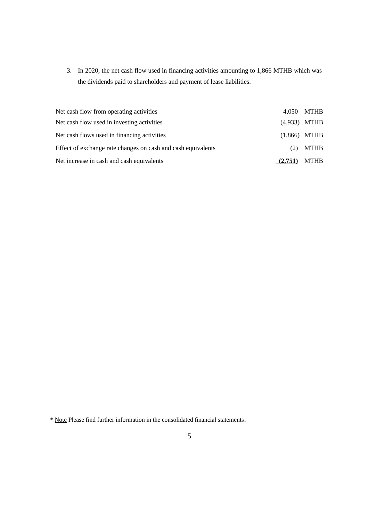3. In 2020, the net cash flow used in financing activities amounting to 1,866 MTHB which was the dividends paid to shareholders and payment of lease liabilities.

| Net cash flow from operating activities                      |                | 4,050 MTHB     |
|--------------------------------------------------------------|----------------|----------------|
| Net cash flow used in investing activities                   |                | $(4,933)$ MTHB |
| Net cash flows used in financing activities                  | $(1,866)$ MTHB |                |
| Effect of exchange rate changes on cash and cash equivalents | (2)            | <b>MTHB</b>    |
| Net increase in cash and cash equivalents                    | (2,751)        | <b>MTHB</b>    |

<sup>\*</sup> Note Please find further information in the consolidated financial statements.